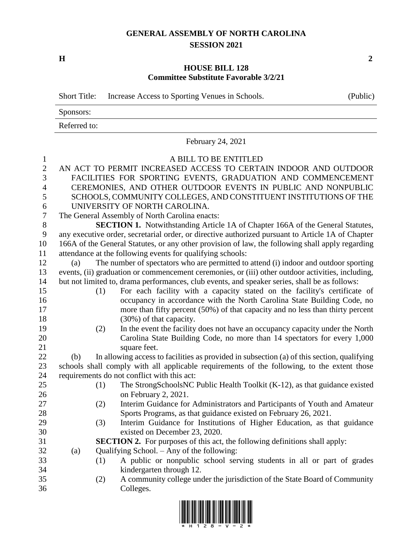## **GENERAL ASSEMBLY OF NORTH CAROLINA SESSION 2021**

**H 2**

## **HOUSE BILL 128 Committee Substitute Favorable 3/2/21**

|                  | <b>Short Title:</b>                                                                               |                                                                                                  | Increase Access to Sporting Venues in Schools.                                             | (Public) |  |  |  |
|------------------|---------------------------------------------------------------------------------------------------|--------------------------------------------------------------------------------------------------|--------------------------------------------------------------------------------------------|----------|--|--|--|
|                  | Sponsors:                                                                                         |                                                                                                  |                                                                                            |          |  |  |  |
|                  | Referred to:                                                                                      |                                                                                                  |                                                                                            |          |  |  |  |
|                  |                                                                                                   | February 24, 2021                                                                                |                                                                                            |          |  |  |  |
| $\mathbf{1}$     |                                                                                                   |                                                                                                  | A BILL TO BE ENTITLED                                                                      |          |  |  |  |
| $\overline{2}$   | AN ACT TO PERMIT INCREASED ACCESS TO CERTAIN INDOOR AND OUTDOOR                                   |                                                                                                  |                                                                                            |          |  |  |  |
| 3                | FACILITIES FOR SPORTING EVENTS, GRADUATION AND COMMENCEMENT                                       |                                                                                                  |                                                                                            |          |  |  |  |
| $\overline{4}$   | CEREMONIES, AND OTHER OUTDOOR EVENTS IN PUBLIC AND NONPUBLIC                                      |                                                                                                  |                                                                                            |          |  |  |  |
| 5                | SCHOOLS, COMMUNITY COLLEGES, AND CONSTITUENT INSTITUTIONS OF THE                                  |                                                                                                  |                                                                                            |          |  |  |  |
| 6                | UNIVERSITY OF NORTH CAROLINA.                                                                     |                                                                                                  |                                                                                            |          |  |  |  |
| $\boldsymbol{7}$ | The General Assembly of North Carolina enacts:                                                    |                                                                                                  |                                                                                            |          |  |  |  |
| 8                | SECTION 1. Notwithstanding Article 1A of Chapter 166A of the General Statutes,                    |                                                                                                  |                                                                                            |          |  |  |  |
| 9                | any executive order, secretarial order, or directive authorized pursuant to Article 1A of Chapter |                                                                                                  |                                                                                            |          |  |  |  |
| 10               |                                                                                                   | 166A of the General Statutes, or any other provision of law, the following shall apply regarding |                                                                                            |          |  |  |  |
| 11               | attendance at the following events for qualifying schools:                                        |                                                                                                  |                                                                                            |          |  |  |  |
| 12               | (a)                                                                                               | The number of spectators who are permitted to attend (i) indoor and outdoor sporting             |                                                                                            |          |  |  |  |
| 13               | events, (ii) graduation or commencement ceremonies, or (iii) other outdoor activities, including, |                                                                                                  |                                                                                            |          |  |  |  |
| 14               | but not limited to, drama performances, club events, and speaker series, shall be as follows:     |                                                                                                  |                                                                                            |          |  |  |  |
| 15               |                                                                                                   | (1)                                                                                              | For each facility with a capacity stated on the facility's certificate of                  |          |  |  |  |
| 16               |                                                                                                   |                                                                                                  | occupancy in accordance with the North Carolina State Building Code, no                    |          |  |  |  |
| 17               |                                                                                                   |                                                                                                  | more than fifty percent (50%) of that capacity and no less than thirty percent             |          |  |  |  |
| 18               |                                                                                                   |                                                                                                  | (30%) of that capacity.                                                                    |          |  |  |  |
| 19               |                                                                                                   | (2)                                                                                              | In the event the facility does not have an occupancy capacity under the North              |          |  |  |  |
| 20               |                                                                                                   |                                                                                                  | Carolina State Building Code, no more than 14 spectators for every 1,000                   |          |  |  |  |
| 21               |                                                                                                   |                                                                                                  | square feet.                                                                               |          |  |  |  |
| 22               | (b)                                                                                               |                                                                                                  | In allowing access to facilities as provided in subsection (a) of this section, qualifying |          |  |  |  |
| 23               | schools shall comply with all applicable requirements of the following, to the extent those       |                                                                                                  |                                                                                            |          |  |  |  |
| 24               | requirements do not conflict with this act:                                                       |                                                                                                  |                                                                                            |          |  |  |  |
| 25               |                                                                                                   | (1)                                                                                              | The StrongSchoolsNC Public Health Toolkit (K-12), as that guidance existed                 |          |  |  |  |
| 26               |                                                                                                   |                                                                                                  | on February 2, 2021.                                                                       |          |  |  |  |
| 27               |                                                                                                   | (2)                                                                                              | Interim Guidance for Administrators and Participants of Youth and Amateur                  |          |  |  |  |
| 28               |                                                                                                   |                                                                                                  | Sports Programs, as that guidance existed on February 26, 2021.                            |          |  |  |  |
| 29               |                                                                                                   | (3)                                                                                              | Interim Guidance for Institutions of Higher Education, as that guidance                    |          |  |  |  |
| 30               |                                                                                                   |                                                                                                  | existed on December 23, 2020.                                                              |          |  |  |  |
| 31               |                                                                                                   |                                                                                                  | <b>SECTION 2.</b> For purposes of this act, the following definitions shall apply:         |          |  |  |  |
| 32               | Qualifying School. – Any of the following:<br>(a)                                                 |                                                                                                  |                                                                                            |          |  |  |  |
| 33               |                                                                                                   | (1)                                                                                              | A public or nonpublic school serving students in all or part of grades                     |          |  |  |  |
| 34               |                                                                                                   |                                                                                                  | kindergarten through 12.                                                                   |          |  |  |  |
| 35               |                                                                                                   | (2)                                                                                              | A community college under the jurisdiction of the State Board of Community                 |          |  |  |  |
| 36               |                                                                                                   |                                                                                                  | Colleges.                                                                                  |          |  |  |  |